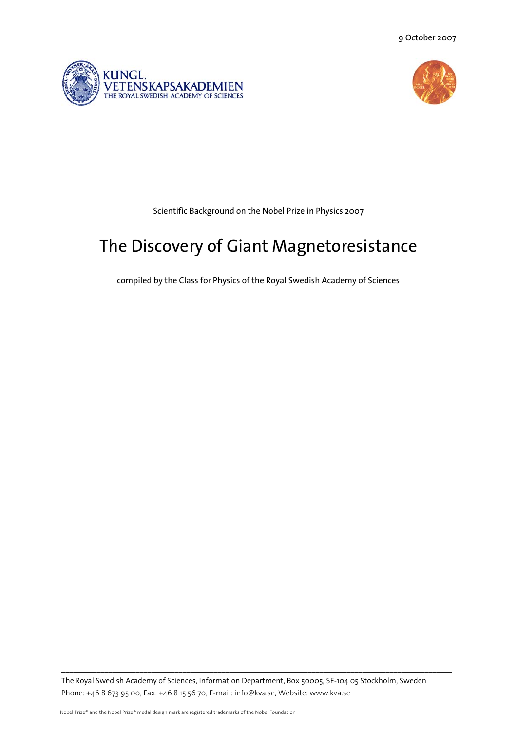9 October 2007





Scientific Background on the Nobel Prize in Physics 2007

# The Discovery of Giant Magnetoresistance

compiled by the Class for Physics of the Royal Swedish Academy of Sciences

The Royal Swedish Academy of Sciences, Information Department, Box 50005, SE-104 05 Stockholm, Sweden Phone: +46 8 673 95 00, Fax: +46 8 15 56 70, E-mail: info@kva.se, Website: www.kva.se

 $\_$  , and the state of the state of the state of the state of the state of the state of the state of the state of the state of the state of the state of the state of the state of the state of the state of the state of the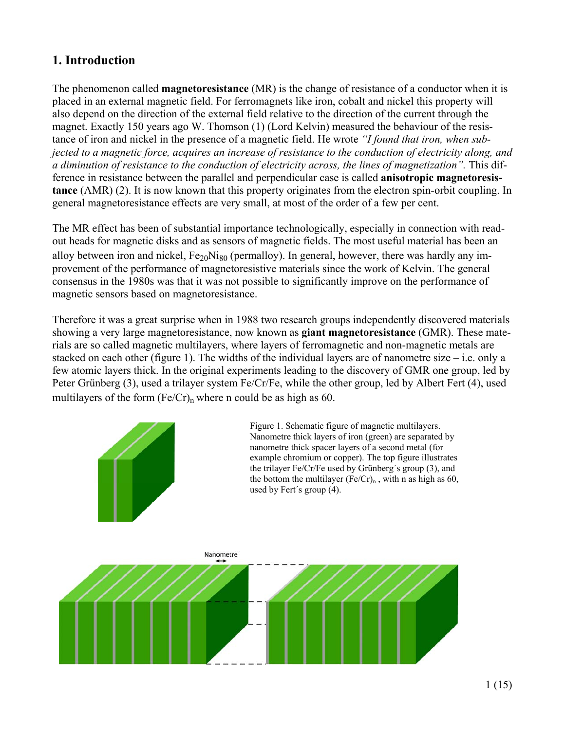# **1. Introduction**

The phenomenon called **magnetoresistance** (MR) is the change of resistance of a conductor when it is placed in an external magnetic field. For ferromagnets like iron, cobalt and nickel this property will also depend on the direction of the external field relative to the direction of the current through the magnet. Exactly 150 years ago W. Thomson (1) (Lord Kelvin) measured the behaviour of the resistance of iron and nickel in the presence of a magnetic field. He wrote *"I found that iron, when subjected to a magnetic force, acquires an increase of resistance to the conduction of electricity along, and a diminution of resistance to the conduction of electricity across, the lines of magnetization".* This difference in resistance between the parallel and perpendicular case is called **anisotropic magnetoresistance** (AMR) (2). It is now known that this property originates from the electron spin-orbit coupling. In general magnetoresistance effects are very small, at most of the order of a few per cent.

The MR effect has been of substantial importance technologically, especially in connection with readout heads for magnetic disks and as sensors of magnetic fields. The most useful material has been an alloy between iron and nickel,  $Fe<sub>20</sub>Ni<sub>80</sub>$  (permalloy). In general, however, there was hardly any improvement of the performance of magnetoresistive materials since the work of Kelvin. The general consensus in the 1980s was that it was not possible to significantly improve on the performance of magnetic sensors based on magnetoresistance.

Therefore it was a great surprise when in 1988 two research groups independently discovered materials showing a very large magnetoresistance, now known as **giant magnetoresistance** (GMR). These materials are so called magnetic multilayers, where layers of ferromagnetic and non-magnetic metals are stacked on each other (figure 1). The widths of the individual layers are of nanometre size – i.e. only a few atomic layers thick. In the original experiments leading to the discovery of GMR one group, led by Peter Grünberg (3), used a trilayer system Fe/Cr/Fe, while the other group, led by Albert Fert (4), used multilayers of the form  $(Fe/Cr)$ <sub>n</sub> where n could be as high as 60.

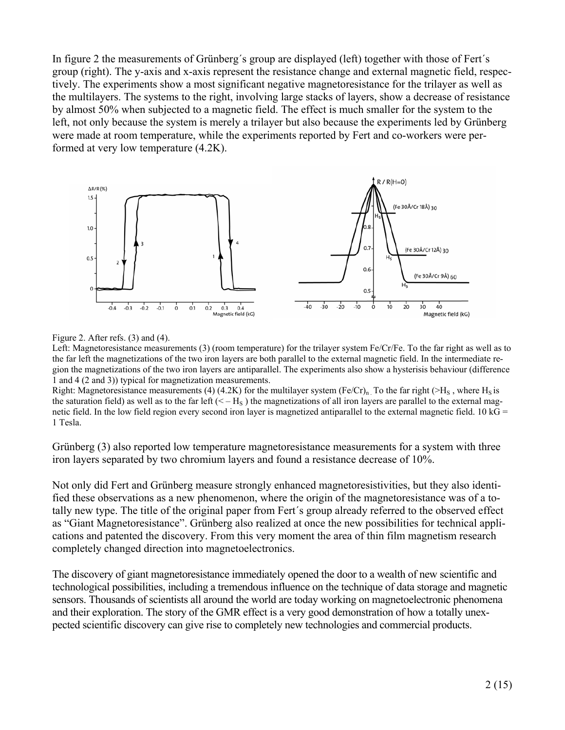In figure 2 the measurements of Grünberg´s group are displayed (left) together with those of Fert´s group (right). The y-axis and x-axis represent the resistance change and external magnetic field, respectively. The experiments show a most significant negative magnetoresistance for the trilayer as well as the multilayers. The systems to the right, involving large stacks of layers, show a decrease of resistance by almost 50% when subjected to a magnetic field. The effect is much smaller for the system to the left, not only because the system is merely a trilayer but also because the experiments led by Grünberg were made at room temperature, while the experiments reported by Fert and co-workers were performed at very low temperature (4.2K).



Figure 2. After refs. (3) and (4).

Left: Magnetoresistance measurements (3) (room temperature) for the trilayer system Fe/Cr/Fe. To the far right as well as to the far left the magnetizations of the two iron layers are both parallel to the external magnetic field. In the intermediate region the magnetizations of the two iron layers are antiparallel. The experiments also show a hysterisis behaviour (difference 1 and 4 (2 and 3)) typical for magnetization measurements.

Right: Magnetoresistance measurements (4) (4.2K) for the multilayer system (Fe/Cr)<sub>n</sub>. To the far right ( $>H<sub>S</sub>$ , where H<sub>S</sub> is the saturation field) as well as to the far left  $(< -H<sub>S</sub>)$  the magnetizations of all iron layers are parallel to the external magnetic field. In the low field region every second iron layer is magnetized antiparallel to the external magnetic field. 10 kG  $=$ 1 Tesla.

Grünberg (3) also reported low temperature magnetoresistance measurements for a system with three iron layers separated by two chromium layers and found a resistance decrease of 10%.

Not only did Fert and Grünberg measure strongly enhanced magnetoresistivities, but they also identified these observations as a new phenomenon, where the origin of the magnetoresistance was of a totally new type. The title of the original paper from Fert´s group already referred to the observed effect as "Giant Magnetoresistance". Grünberg also realized at once the new possibilities for technical applications and patented the discovery. From this very moment the area of thin film magnetism research completely changed direction into magnetoelectronics.

The discovery of giant magnetoresistance immediately opened the door to a wealth of new scientific and technological possibilities, including a tremendous influence on the technique of data storage and magnetic sensors. Thousands of scientists all around the world are today working on magnetoelectronic phenomena and their exploration. The story of the GMR effect is a very good demonstration of how a totally unexpected scientific discovery can give rise to completely new technologies and commercial products.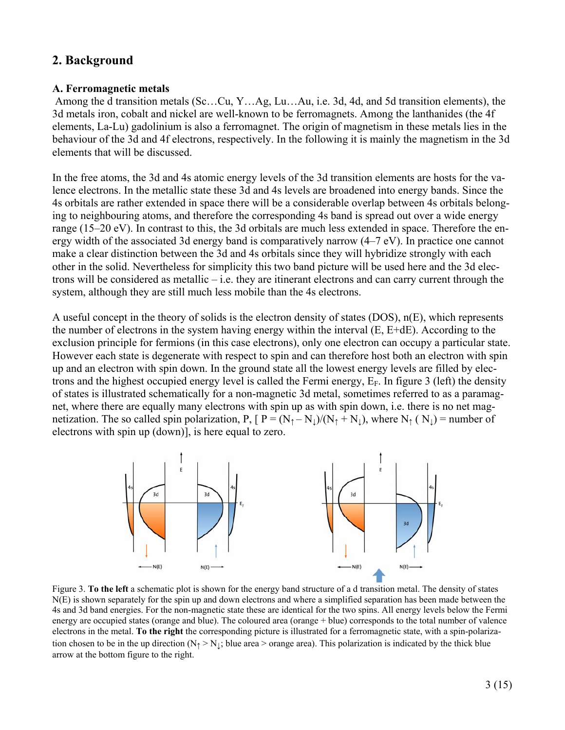## **2. Background**

#### **A. Ferromagnetic metals**

Among the d transition metals (Sc…Cu, Y…Ag, Lu…Au, i.e. 3d, 4d, and 5d transition elements), the 3d metals iron, cobalt and nickel are well-known to be ferromagnets. Among the lanthanides (the 4f elements, La-Lu) gadolinium is also a ferromagnet. The origin of magnetism in these metals lies in the behaviour of the 3d and 4f electrons, respectively. In the following it is mainly the magnetism in the 3d elements that will be discussed.

In the free atoms, the 3d and 4s atomic energy levels of the 3d transition elements are hosts for the valence electrons. In the metallic state these 3d and 4s levels are broadened into energy bands. Since the 4s orbitals are rather extended in space there will be a considerable overlap between 4s orbitals belonging to neighbouring atoms, and therefore the corresponding 4s band is spread out over a wide energy range (15–20 eV). In contrast to this, the 3d orbitals are much less extended in space. Therefore the energy width of the associated 3d energy band is comparatively narrow (4–7 eV). In practice one cannot make a clear distinction between the 3d and 4s orbitals since they will hybridize strongly with each other in the solid. Nevertheless for simplicity this two band picture will be used here and the 3d electrons will be considered as metallic – i.e. they are itinerant electrons and can carry current through the system, although they are still much less mobile than the 4s electrons.

A useful concept in the theory of solids is the electron density of states (DOS), n(E), which represents the number of electrons in the system having energy within the interval (E, E+dE). According to the exclusion principle for fermions (in this case electrons), only one electron can occupy a particular state. However each state is degenerate with respect to spin and can therefore host both an electron with spin up and an electron with spin down. In the ground state all the lowest energy levels are filled by electrons and the highest occupied energy level is called the Fermi energy,  $E_F$ . In figure 3 (left) the density of states is illustrated schematically for a non-magnetic 3d metal, sometimes referred to as a paramagnet, where there are equally many electrons with spin up as with spin down, i.e. there is no net magnetization. The so called spin polarization, P,  $[ P = (N_1 - N_1)/(N_1 + N_1)$ , where  $N_1(N_1) =$  number of electrons with spin up (down)], is here equal to zero.



Figure 3. **To the left** a schematic plot is shown for the energy band structure of a d transition metal. The density of states N(E) is shown separately for the spin up and down electrons and where a simplified separation has been made between the 4s and 3d band energies. For the non-magnetic state these are identical for the two spins. All energy levels below the Fermi energy are occupied states (orange and blue). The coloured area (orange + blue) corresponds to the total number of valence electrons in the metal. **To the right** the corresponding picture is illustrated for a ferromagnetic state, with a spin-polarization chosen to be in the up direction  $(N_1 > N_1)$ ; blue area > orange area). This polarization is indicated by the thick blue arrow at the bottom figure to the right.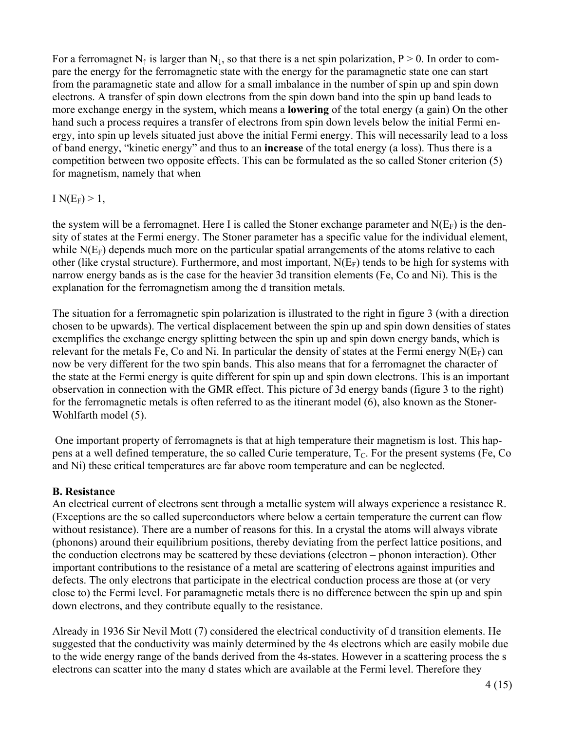For a ferromagnet N<sub>↑</sub> is larger than N<sub>↓</sub>, so that there is a net spin polarization, P > 0. In order to compare the energy for the ferromagnetic state with the energy for the paramagnetic state one can start from the paramagnetic state and allow for a small imbalance in the number of spin up and spin down electrons. A transfer of spin down electrons from the spin down band into the spin up band leads to more exchange energy in the system, which means a **lowering** of the total energy (a gain) On the other hand such a process requires a transfer of electrons from spin down levels below the initial Fermi energy, into spin up levels situated just above the initial Fermi energy. This will necessarily lead to a loss of band energy, "kinetic energy" and thus to an **increase** of the total energy (a loss). Thus there is a competition between two opposite effects. This can be formulated as the so called Stoner criterion (5) for magnetism, namely that when

#### I  $N(E_F) > 1$ ,

the system will be a ferromagnet. Here I is called the Stoner exchange parameter and  $N(E_F)$  is the density of states at the Fermi energy. The Stoner parameter has a specific value for the individual element, while  $N(E_F)$  depends much more on the particular spatial arrangements of the atoms relative to each other (like crystal structure). Furthermore, and most important,  $N(E_F)$  tends to be high for systems with narrow energy bands as is the case for the heavier 3d transition elements (Fe, Co and Ni). This is the explanation for the ferromagnetism among the d transition metals.

The situation for a ferromagnetic spin polarization is illustrated to the right in figure 3 (with a direction chosen to be upwards). The vertical displacement between the spin up and spin down densities of states exemplifies the exchange energy splitting between the spin up and spin down energy bands, which is relevant for the metals Fe, Co and Ni. In particular the density of states at the Fermi energy  $N(E_F)$  can now be very different for the two spin bands. This also means that for a ferromagnet the character of the state at the Fermi energy is quite different for spin up and spin down electrons. This is an important observation in connection with the GMR effect. This picture of 3d energy bands (figure 3 to the right) for the ferromagnetic metals is often referred to as the itinerant model (6), also known as the Stoner-Wohlfarth model (5).

 One important property of ferromagnets is that at high temperature their magnetism is lost. This happens at a well defined temperature, the so called Curie temperature,  $T_c$ . For the present systems (Fe, Co and Ni) these critical temperatures are far above room temperature and can be neglected.

#### **B. Resistance**

An electrical current of electrons sent through a metallic system will always experience a resistance R. (Exceptions are the so called superconductors where below a certain temperature the current can flow without resistance). There are a number of reasons for this. In a crystal the atoms will always vibrate (phonons) around their equilibrium positions, thereby deviating from the perfect lattice positions, and the conduction electrons may be scattered by these deviations (electron – phonon interaction). Other important contributions to the resistance of a metal are scattering of electrons against impurities and defects. The only electrons that participate in the electrical conduction process are those at (or very close to) the Fermi level. For paramagnetic metals there is no difference between the spin up and spin down electrons, and they contribute equally to the resistance.

Already in 1936 Sir Nevil Mott (7) considered the electrical conductivity of d transition elements. He suggested that the conductivity was mainly determined by the 4s electrons which are easily mobile due to the wide energy range of the bands derived from the 4s-states. However in a scattering process the s electrons can scatter into the many d states which are available at the Fermi level. Therefore they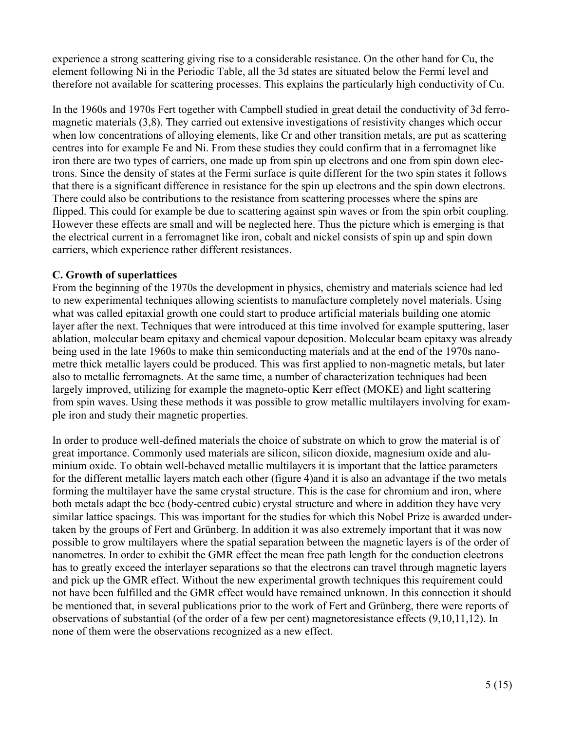experience a strong scattering giving rise to a considerable resistance. On the other hand for Cu, the element following Ni in the Periodic Table, all the 3d states are situated below the Fermi level and therefore not available for scattering processes. This explains the particularly high conductivity of Cu.

In the 1960s and 1970s Fert together with Campbell studied in great detail the conductivity of 3d ferromagnetic materials (3,8). They carried out extensive investigations of resistivity changes which occur when low concentrations of alloying elements, like Cr and other transition metals, are put as scattering centres into for example Fe and Ni. From these studies they could confirm that in a ferromagnet like iron there are two types of carriers, one made up from spin up electrons and one from spin down electrons. Since the density of states at the Fermi surface is quite different for the two spin states it follows that there is a significant difference in resistance for the spin up electrons and the spin down electrons. There could also be contributions to the resistance from scattering processes where the spins are flipped. This could for example be due to scattering against spin waves or from the spin orbit coupling. However these effects are small and will be neglected here. Thus the picture which is emerging is that the electrical current in a ferromagnet like iron, cobalt and nickel consists of spin up and spin down carriers, which experience rather different resistances.

#### **C. Growth of superlattices**

From the beginning of the 1970s the development in physics, chemistry and materials science had led to new experimental techniques allowing scientists to manufacture completely novel materials. Using what was called epitaxial growth one could start to produce artificial materials building one atomic layer after the next. Techniques that were introduced at this time involved for example sputtering, laser ablation, molecular beam epitaxy and chemical vapour deposition. Molecular beam epitaxy was already being used in the late 1960s to make thin semiconducting materials and at the end of the 1970s nanometre thick metallic layers could be produced. This was first applied to non-magnetic metals, but later also to metallic ferromagnets. At the same time, a number of characterization techniques had been largely improved, utilizing for example the magneto-optic Kerr effect (MOKE) and light scattering from spin waves. Using these methods it was possible to grow metallic multilayers involving for example iron and study their magnetic properties.

In order to produce well-defined materials the choice of substrate on which to grow the material is of great importance. Commonly used materials are silicon, silicon dioxide, magnesium oxide and aluminium oxide. To obtain well-behaved metallic multilayers it is important that the lattice parameters for the different metallic layers match each other (figure 4)and it is also an advantage if the two metals forming the multilayer have the same crystal structure. This is the case for chromium and iron, where both metals adapt the bcc (body-centred cubic) crystal structure and where in addition they have very similar lattice spacings. This was important for the studies for which this Nobel Prize is awarded undertaken by the groups of Fert and Grünberg. In addition it was also extremely important that it was now possible to grow multilayers where the spatial separation between the magnetic layers is of the order of nanometres. In order to exhibit the GMR effect the mean free path length for the conduction electrons has to greatly exceed the interlayer separations so that the electrons can travel through magnetic layers and pick up the GMR effect. Without the new experimental growth techniques this requirement could not have been fulfilled and the GMR effect would have remained unknown. In this connection it should be mentioned that, in several publications prior to the work of Fert and Grünberg, there were reports of observations of substantial (of the order of a few per cent) magnetoresistance effects (9,10,11,12). In none of them were the observations recognized as a new effect.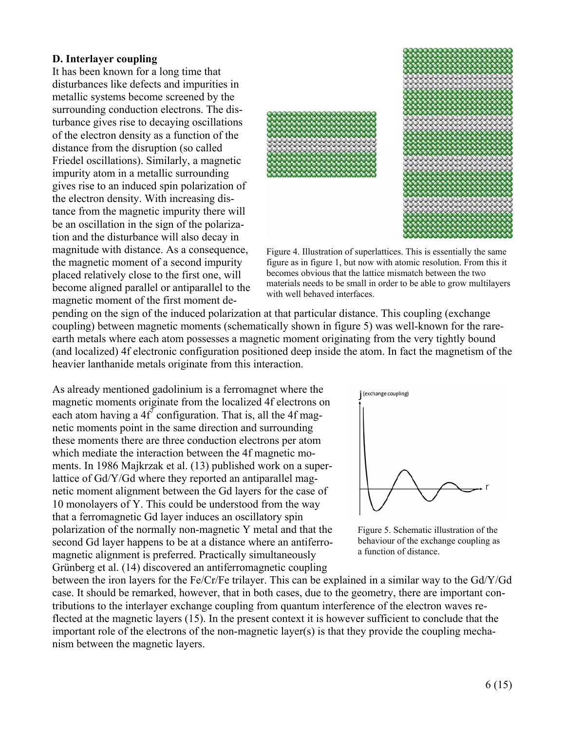#### **D. Interlayer coupling**

It has been known for a long time that disturbances like defects and impurities in metallic systems become screened by the surrounding conduction electrons. The disturbance gives rise to decaying oscillations of the electron density as a function of the distance from the disruption (so called Friedel oscillations). Similarly, a magnetic impurity atom in a metallic surrounding gives rise to an induced spin polarization of the electron density. With increasing distance from the magnetic impurity there will be an oscillation in the sign of the polarization and the disturbance will also decay in magnitude with distance. As a consequence, the magnetic moment of a second impurity placed relatively close to the first one, will become aligned parallel or antiparallel to the magnetic moment of the first moment de-



Figure 4. Illustration of superlattices. This is essentially the same figure as in figure 1, but now with atomic resolution. From this it becomes obvious that the lattice mismatch between the two materials needs to be small in order to be able to grow multilayers with well behaved interfaces.

pending on the sign of the induced polarization at that particular distance. This coupling (exchange coupling) between magnetic moments (schematically shown in figure 5) was well-known for the rareearth metals where each atom possesses a magnetic moment originating from the very tightly bound (and localized) 4f electronic configuration positioned deep inside the atom. In fact the magnetism of the heavier lanthanide metals originate from this interaction.

As already mentioned gadolinium is a ferromagnet where the magnetic moments originate from the localized 4f electrons on each atom having a  $4f^7$  configuration. That is, all the 4f magnetic moments point in the same direction and surrounding these moments there are three conduction electrons per atom which mediate the interaction between the 4f magnetic moments. In 1986 Majkrzak et al. (13) published work on a superlattice of Gd/Y/Gd where they reported an antiparallel magnetic moment alignment between the Gd layers for the case of 10 monolayers of Y. This could be understood from the way that a ferromagnetic Gd layer induces an oscillatory spin polarization of the normally non-magnetic Y metal and that the second Gd layer happens to be at a distance where an antiferromagnetic alignment is preferred. Practically simultaneously Grünberg et al. (14) discovered an antiferromagnetic coupling



Figure 5. Schematic illustration of the behaviour of the exchange coupling as a function of distance.

between the iron layers for the Fe/Cr/Fe trilayer. This can be explained in a similar way to the Gd/Y/Gd case. It should be remarked, however, that in both cases, due to the geometry, there are important contributions to the interlayer exchange coupling from quantum interference of the electron waves reflected at the magnetic layers (15). In the present context it is however sufficient to conclude that the important role of the electrons of the non-magnetic layer(s) is that they provide the coupling mechanism between the magnetic layers.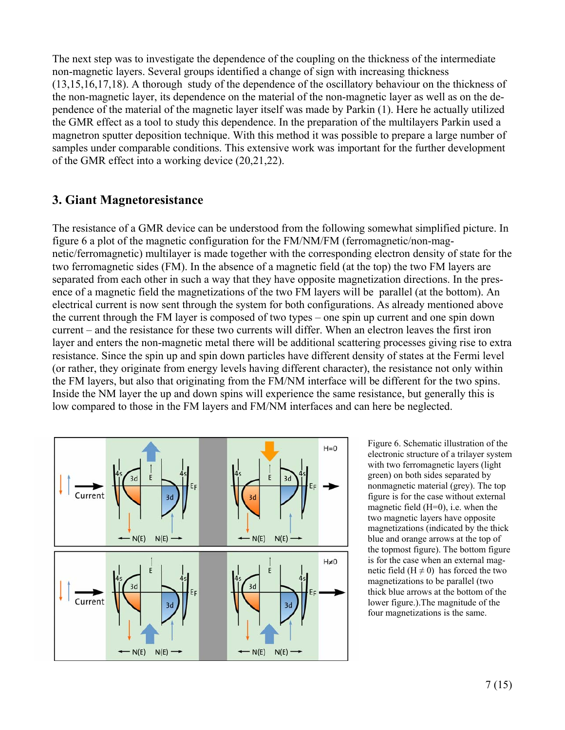The next step was to investigate the dependence of the coupling on the thickness of the intermediate non-magnetic layers. Several groups identified a change of sign with increasing thickness (13,15,16,17,18). A thorough study of the dependence of the oscillatory behaviour on the thickness of the non-magnetic layer, its dependence on the material of the non-magnetic layer as well as on the dependence of the material of the magnetic layer itself was made by Parkin (1). Here he actually utilized the GMR effect as a tool to study this dependence. In the preparation of the multilayers Parkin used a magnetron sputter deposition technique. With this method it was possible to prepare a large number of samples under comparable conditions. This extensive work was important for the further development of the GMR effect into a working device (20,21,22).

## **3. Giant Magnetoresistance**

The resistance of a GMR device can be understood from the following somewhat simplified picture. In figure 6 a plot of the magnetic configuration for the FM/NM/FM (ferromagnetic/non-magnetic/ferromagnetic) multilayer is made together with the corresponding electron density of state for the two ferromagnetic sides (FM). In the absence of a magnetic field (at the top) the two FM layers are separated from each other in such a way that they have opposite magnetization directions. In the presence of a magnetic field the magnetizations of the two FM layers will be parallel (at the bottom). An electrical current is now sent through the system for both configurations. As already mentioned above the current through the FM layer is composed of two types – one spin up current and one spin down current – and the resistance for these two currents will differ. When an electron leaves the first iron layer and enters the non-magnetic metal there will be additional scattering processes giving rise to extra resistance. Since the spin up and spin down particles have different density of states at the Fermi level (or rather, they originate from energy levels having different character), the resistance not only within the FM layers, but also that originating from the FM/NM interface will be different for the two spins. Inside the NM layer the up and down spins will experience the same resistance, but generally this is low compared to those in the FM layers and FM/NM interfaces and can here be neglected.



Figure 6. Schematic illustration of the electronic structure of a trilayer system with two ferromagnetic layers (light green) on both sides separated by nonmagnetic material (grey). The top figure is for the case without external magnetic field (H=0), i.e. when the two magnetic layers have opposite magnetizations (indicated by the thick blue and orange arrows at the top of the topmost figure). The bottom figure is for the case when an external magnetic field ( $H \neq 0$ ) has forced the two magnetizations to be parallel (two thick blue arrows at the bottom of the lower figure.).The magnitude of the four magnetizations is the same.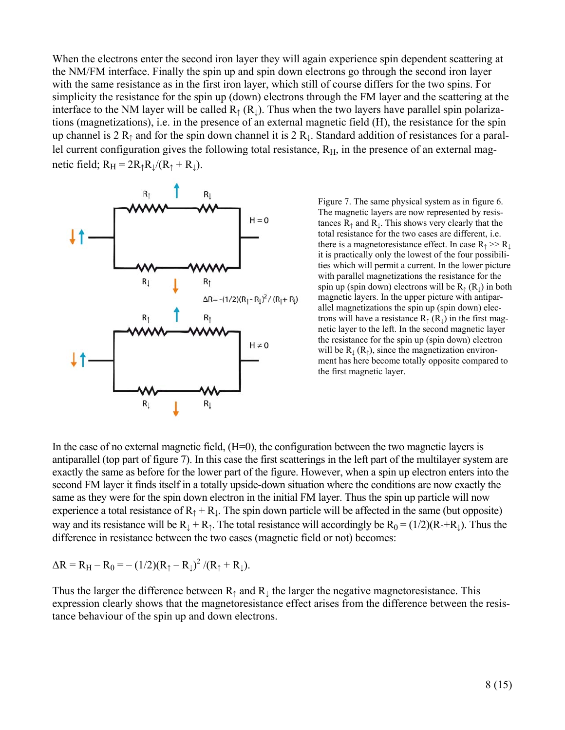When the electrons enter the second iron layer they will again experience spin dependent scattering at the NM/FM interface. Finally the spin up and spin down electrons go through the second iron layer with the same resistance as in the first iron layer, which still of course differs for the two spins. For simplicity the resistance for the spin up (down) electrons through the FM layer and the scattering at the interface to the NM layer will be called  $R_1(R_1)$ . Thus when the two layers have parallel spin polarizations (magnetizations), i.e. in the presence of an external magnetic field (H), the resistance for the spin up channel is 2  $R_1$  and for the spin down channel it is 2  $R_1$ . Standard addition of resistances for a parallel current configuration gives the following total resistance,  $R_H$ , in the presence of an external magnetic field;  $R_H = 2R_1R_{\perp}/(R_1 + R_{\perp})$ .



Figure 7. The same physical system as in figure 6. The magnetic layers are now represented by resistances  $R_1$  and  $R_1$ . This shows very clearly that the total resistance for the two cases are different, i.e. there is a magnetoresistance effect. In case  $R_1 \gg R_1$ it is practically only the lowest of the four possibilities which will permit a current. In the lower picture with parallel magnetizations the resistance for the spin up (spin down) electrons will be  $R_1(R_1)$  in both magnetic layers. In the upper picture with antiparallel magnetizations the spin up (spin down) electrons will have a resistance  $R_1(R_1)$  in the first magnetic layer to the left. In the second magnetic layer the resistance for the spin up (spin down) electron will be  $R_{\perp}(R_{\uparrow})$ , since the magnetization environment has here become totally opposite compared to the first magnetic layer.

In the case of no external magnetic field,  $(H=0)$ , the configuration between the two magnetic layers is antiparallel (top part of figure 7). In this case the first scatterings in the left part of the multilayer system are exactly the same as before for the lower part of the figure. However, when a spin up electron enters into the second FM layer it finds itself in a totally upside-down situation where the conditions are now exactly the same as they were for the spin down electron in the initial FM layer. Thus the spin up particle will now experience a total resistance of  $R_1 + R_1$ . The spin down particle will be affected in the same (but opposite) way and its resistance will be  $R_1 + R_1$ . The total resistance will accordingly be  $R_0 = (1/2)(R_1 + R_1)$ . Thus the difference in resistance between the two cases (magnetic field or not) becomes:

$$
\Delta R = R_{H} - R_{0} = -(1/2)(R_{\uparrow} - R_{\downarrow})^{2} / (R_{\uparrow} + R_{\downarrow}).
$$

Thus the larger the difference between  $R<sub>†</sub>$  and  $R<sub>⊥</sub>$  the larger the negative magnetoresistance. This expression clearly shows that the magnetoresistance effect arises from the difference between the resistance behaviour of the spin up and down electrons.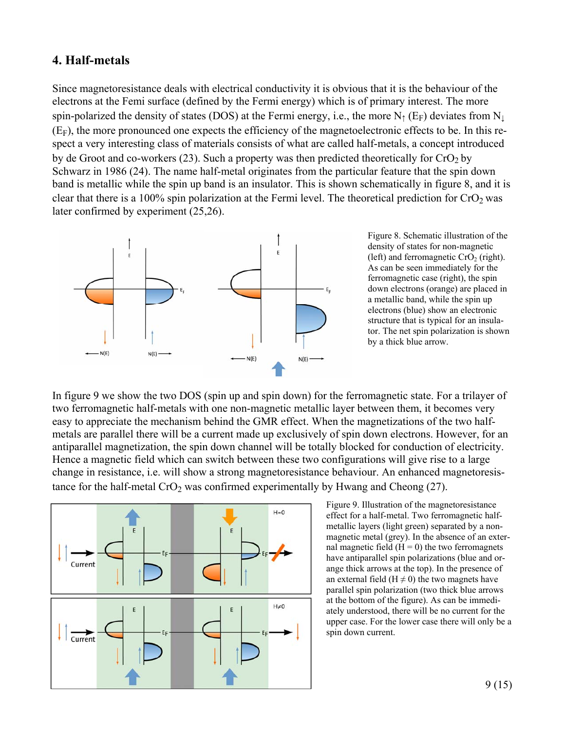### **4. Half-metals**

Since magnetoresistance deals with electrical conductivity it is obvious that it is the behaviour of the electrons at the Femi surface (defined by the Fermi energy) which is of primary interest. The more spin-polarized the density of states (DOS) at the Fermi energy, i.e., the more  $N_{\uparrow}$  (E<sub>F</sub>) deviates from  $N_{\downarrow}$  $(E_F)$ , the more pronounced one expects the efficiency of the magnetoelectronic effects to be. In this respect a very interesting class of materials consists of what are called half-metals, a concept introduced by de Groot and co-workers (23). Such a property was then predicted theoretically for  $CrO<sub>2</sub>$  by Schwarz in 1986 (24). The name half-metal originates from the particular feature that the spin down band is metallic while the spin up band is an insulator. This is shown schematically in figure 8, and it is clear that there is a 100% spin polarization at the Fermi level. The theoretical prediction for  $CrO<sub>2</sub>$  was later confirmed by experiment (25,26).



Figure 8. Schematic illustration of the density of states for non-magnetic (left) and ferromagnetic  $CrO<sub>2</sub>$  (right). As can be seen immediately for the ferromagnetic case (right), the spin down electrons (orange) are placed in a metallic band, while the spin up electrons (blue) show an electronic structure that is typical for an insulator. The net spin polarization is shown by a thick blue arrow.

In figure 9 we show the two DOS (spin up and spin down) for the ferromagnetic state. For a trilayer of two ferromagnetic half-metals with one non-magnetic metallic layer between them, it becomes very easy to appreciate the mechanism behind the GMR effect. When the magnetizations of the two halfmetals are parallel there will be a current made up exclusively of spin down electrons. However, for an antiparallel magnetization, the spin down channel will be totally blocked for conduction of electricity. Hence a magnetic field which can switch between these two configurations will give rise to a large change in resistance, i.e. will show a strong magnetoresistance behaviour. An enhanced magnetoresistance for the half-metal  $CrO<sub>2</sub>$  was confirmed experimentally by Hwang and Cheong (27).



Figure 9. Illustration of the magnetoresistance effect for a half-metal. Two ferromagnetic halfmetallic layers (light green) separated by a nonmagnetic metal (grey). In the absence of an external magnetic field  $(H = 0)$  the two ferromagnets have antiparallel spin polarizations (blue and orange thick arrows at the top). In the presence of an external field ( $H \neq 0$ ) the two magnets have parallel spin polarization (two thick blue arrows at the bottom of the figure). As can be immediately understood, there will be no current for the upper case. For the lower case there will only be a spin down current.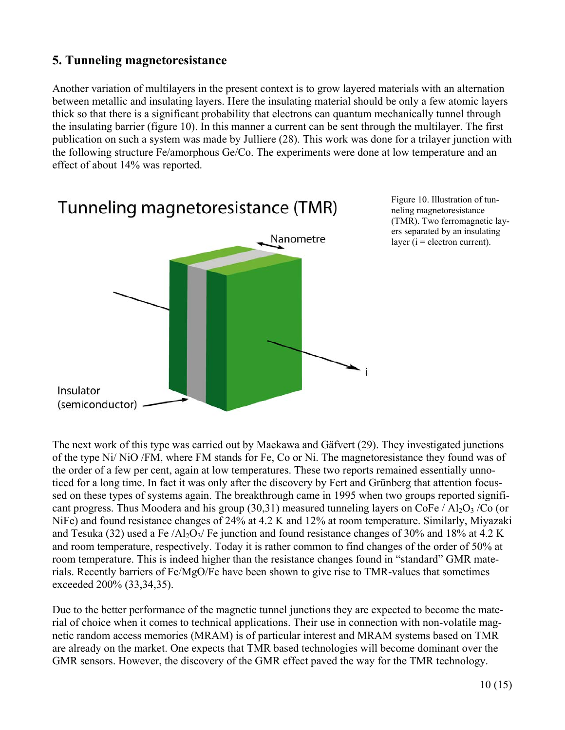# **5. Tunneling magnetoresistance**

Another variation of multilayers in the present context is to grow layered materials with an alternation between metallic and insulating layers. Here the insulating material should be only a few atomic layers thick so that there is a significant probability that electrons can quantum mechanically tunnel through the insulating barrier (figure 10). In this manner a current can be sent through the multilayer. The first publication on such a system was made by Julliere (28). This work was done for a trilayer junction with the following structure Fe/amorphous Ge/Co. The experiments were done at low temperature and an effect of about 14% was reported.



Figure 10. Illustration of tunneling magnetoresistance (TMR). Two ferromagnetic layers separated by an insulating layer ( $i =$  electron current).

The next work of this type was carried out by Maekawa and Gäfvert (29). They investigated junctions of the type Ni/ NiO /FM, where FM stands for Fe, Co or Ni. The magnetoresistance they found was of the order of a few per cent, again at low temperatures. These two reports remained essentially unnoticed for a long time. In fact it was only after the discovery by Fert and Grünberg that attention focussed on these types of systems again. The breakthrough came in 1995 when two groups reported significant progress. Thus Moodera and his group (30,31) measured tunneling layers on CoFe / Al<sub>2</sub>O<sub>3</sub> /Co (or NiFe) and found resistance changes of 24% at 4.2 K and 12% at room temperature. Similarly, Miyazaki and Tesuka (32) used a Fe  $\overline{A}$ l<sub>2</sub>O<sub>3</sub>/ Fe junction and found resistance changes of 30% and 18% at 4.2 K and room temperature, respectively. Today it is rather common to find changes of the order of 50% at room temperature. This is indeed higher than the resistance changes found in "standard" GMR materials. Recently barriers of Fe/MgO/Fe have been shown to give rise to TMR-values that sometimes exceeded 200% (33,34,35).

Due to the better performance of the magnetic tunnel junctions they are expected to become the material of choice when it comes to technical applications. Their use in connection with non-volatile magnetic random access memories (MRAM) is of particular interest and MRAM systems based on TMR are already on the market. One expects that TMR based technologies will become dominant over the GMR sensors. However, the discovery of the GMR effect paved the way for the TMR technology.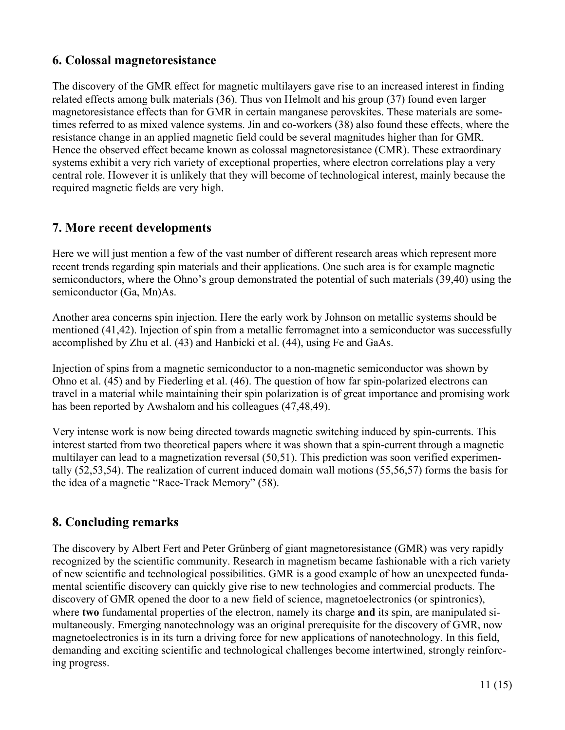# **6. Colossal magnetoresistance**

The discovery of the GMR effect for magnetic multilayers gave rise to an increased interest in finding related effects among bulk materials (36). Thus von Helmolt and his group (37) found even larger magnetoresistance effects than for GMR in certain manganese perovskites. These materials are sometimes referred to as mixed valence systems. Jin and co-workers (38) also found these effects, where the resistance change in an applied magnetic field could be several magnitudes higher than for GMR. Hence the observed effect became known as colossal magnetoresistance (CMR). These extraordinary systems exhibit a very rich variety of exceptional properties, where electron correlations play a very central role. However it is unlikely that they will become of technological interest, mainly because the required magnetic fields are very high.

# **7. More recent developments**

Here we will just mention a few of the vast number of different research areas which represent more recent trends regarding spin materials and their applications. One such area is for example magnetic semiconductors, where the Ohno's group demonstrated the potential of such materials (39,40) using the semiconductor (Ga, Mn)As.

Another area concerns spin injection. Here the early work by Johnson on metallic systems should be mentioned (41,42). Injection of spin from a metallic ferromagnet into a semiconductor was successfully accomplished by Zhu et al. (43) and Hanbicki et al. (44), using Fe and GaAs.

Injection of spins from a magnetic semiconductor to a non-magnetic semiconductor was shown by Ohno et al. (45) and by Fiederling et al. (46). The question of how far spin-polarized electrons can travel in a material while maintaining their spin polarization is of great importance and promising work has been reported by Awshalom and his colleagues (47,48,49).

Very intense work is now being directed towards magnetic switching induced by spin-currents. This interest started from two theoretical papers where it was shown that a spin-current through a magnetic multilayer can lead to a magnetization reversal (50,51). This prediction was soon verified experimentally (52,53,54). The realization of current induced domain wall motions (55,56,57) forms the basis for the idea of a magnetic "Race-Track Memory" (58).

## **8. Concluding remarks**

The discovery by Albert Fert and Peter Grünberg of giant magnetoresistance (GMR) was very rapidly recognized by the scientific community. Research in magnetism became fashionable with a rich variety of new scientific and technological possibilities. GMR is a good example of how an unexpected fundamental scientific discovery can quickly give rise to new technologies and commercial products. The discovery of GMR opened the door to a new field of science, magnetoelectronics (or spintronics), where **two** fundamental properties of the electron, namely its charge **and** its spin, are manipulated simultaneously. Emerging nanotechnology was an original prerequisite for the discovery of GMR, now magnetoelectronics is in its turn a driving force for new applications of nanotechnology. In this field, demanding and exciting scientific and technological challenges become intertwined, strongly reinforcing progress.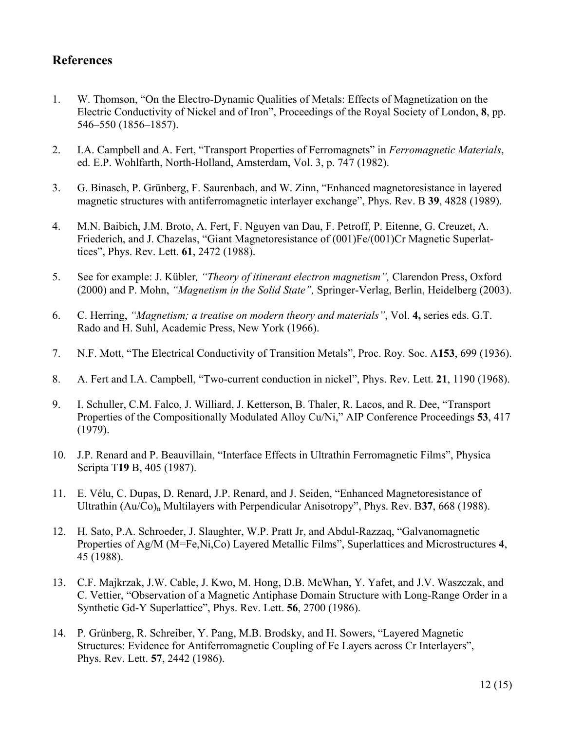## **References**

- 1. W. Thomson, "On the Electro-Dynamic Qualities of Metals: Effects of Magnetization on the Electric Conductivity of Nickel and of Iron", Proceedings of the Royal Society of London, **8**, pp. 546–550 (1856–1857).
- 2. I.A. Campbell and A. Fert, "Transport Properties of Ferromagnets" in *Ferromagnetic Materials*, ed. E.P. Wohlfarth, North-Holland, Amsterdam, Vol. 3, p. 747 (1982).
- 3. G. Binasch, P. Grünberg, F. Saurenbach, and W. Zinn, "Enhanced magnetoresistance in layered magnetic structures with antiferromagnetic interlayer exchange", Phys. Rev. B **39**, 4828 (1989).
- 4. M.N. Baibich, J.M. Broto, A. Fert, F. Nguyen van Dau, F. Petroff, P. Eitenne, G. Creuzet, A. Friederich, and J. Chazelas, "Giant Magnetoresistance of (001)Fe/(001)Cr Magnetic Superlattices", Phys. Rev. Lett. **61**, 2472 (1988).
- 5. See for example: J. Kübler*, "Theory of itinerant electron magnetism",* Clarendon Press, Oxford (2000) and P. Mohn, *"Magnetism in the Solid State",* Springer-Verlag, Berlin, Heidelberg (2003).
- 6. C. Herring, *"Magnetism; a treatise on modern theory and materials"*, Vol. **4,** series eds. G.T. Rado and H. Suhl, Academic Press, New York (1966).
- 7. N.F. Mott, "The Electrical Conductivity of Transition Metals", Proc. Roy. Soc. A**153**, 699 (1936).
- 8. A. Fert and I.A. Campbell, "Two-current conduction in nickel", Phys. Rev. Lett. **21**, 1190 (1968).
- 9. I. Schuller, C.M. Falco, J. Williard, J. Ketterson, B. Thaler, R. Lacos, and R. Dee, "Transport Properties of the Compositionally Modulated Alloy Cu/Ni," AIP Conference Proceedings **53**, 417 (1979).
- 10. J.P. Renard and P. Beauvillain, "Interface Effects in Ultrathin Ferromagnetic Films", Physica Scripta T**19** B, 405 (1987).
- 11. E. Vélu, C. Dupas, D. Renard, J.P. Renard, and J. Seiden, "Enhanced Magnetoresistance of Ultrathin (Au/Co)<sub>n</sub> Multilayers with Perpendicular Anisotropy", Phys. Rev. B37, 668 (1988).
- 12. H. Sato, P.A. Schroeder, J. Slaughter, W.P. Pratt Jr, and Abdul-Razzaq, "Galvanomagnetic Properties of Ag/M (M=Fe,Ni,Co) Layered Metallic Films", Superlattices and Microstructures **4**, 45 (1988).
- 13. C.F. Majkrzak, J.W. Cable, J. Kwo, M. Hong, D.B. McWhan, Y. Yafet, and J.V. Waszczak, and C. Vettier, "Observation of a Magnetic Antiphase Domain Structure with Long-Range Order in a Synthetic Gd-Y Superlattice", Phys. Rev. Lett. **56**, 2700 (1986).
- 14. P. Grünberg, R. Schreiber, Y. Pang, M.B. Brodsky, and H. Sowers, "Layered Magnetic Structures: Evidence for Antiferromagnetic Coupling of Fe Layers across Cr Interlayers", Phys. Rev. Lett. **57**, 2442 (1986).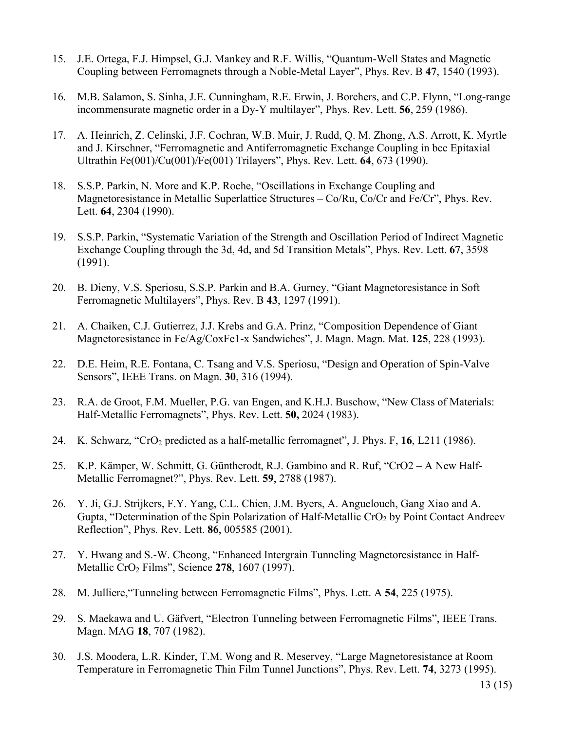- 15. J.E. Ortega, F.J. Himpsel, G.J. Mankey and R.F. Willis, "Quantum-Well States and Magnetic Coupling between Ferromagnets through a Noble-Metal Layer", Phys. Rev. B **47**, 1540 (1993).
- 16. M.B. Salamon, S. Sinha, J.E. Cunningham, R.E. Erwin, J. Borchers, and C.P. Flynn, "Long-range incommensurate magnetic order in a Dy-Y multilayer", Phys. Rev. Lett. **56**, 259 (1986).
- 17. A. Heinrich, Z. Celinski, J.F. Cochran, W.B. Muir, J. Rudd, Q. M. Zhong, A.S. Arrott, K. Myrtle and J. Kirschner, "Ferromagnetic and Antiferromagnetic Exchange Coupling in bcc Epitaxial Ultrathin Fe(001)/Cu(001)/Fe(001) Trilayers", Phys. Rev. Lett. **64**, 673 (1990).
- 18. S.S.P. Parkin, N. More and K.P. Roche, "Oscillations in Exchange Coupling and Magnetoresistance in Metallic Superlattice Structures – Co/Ru, Co/Cr and Fe/Cr", Phys. Rev. Lett. **64**, 2304 (1990).
- 19. S.S.P. Parkin, "Systematic Variation of the Strength and Oscillation Period of Indirect Magnetic Exchange Coupling through the 3d, 4d, and 5d Transition Metals", Phys. Rev. Lett. **67**, 3598 (1991).
- 20. B. Dieny, V.S. Speriosu, S.S.P. Parkin and B.A. Gurney, "Giant Magnetoresistance in Soft Ferromagnetic Multilayers", Phys. Rev. B **43**, 1297 (1991).
- 21. A. Chaiken, C.J. Gutierrez, J.J. Krebs and G.A. Prinz, "Composition Dependence of Giant Magnetoresistance in Fe/Ag/CoxFe1-x Sandwiches", J. Magn. Magn. Mat. **125**, 228 (1993).
- 22. D.E. Heim, R.E. Fontana, C. Tsang and V.S. Speriosu, "Design and Operation of Spin-Valve Sensors", IEEE Trans. on Magn. **30**, 316 (1994).
- 23. R.A. de Groot, F.M. Mueller, P.G. van Engen, and K.H.J. Buschow, "New Class of Materials: Half-Metallic Ferromagnets", Phys. Rev. Lett. **50,** 2024 (1983).
- 24. K. Schwarz, "CrO<sub>2</sub> predicted as a half-metallic ferromagnet", J. Phys. F, 16, L211 (1986).
- 25. K.P. Kämper, W. Schmitt, G. Güntherodt, R.J. Gambino and R. Ruf, "CrO2 A New Half- Metallic Ferromagnet?", Phys. Rev. Lett. **59**, 2788 (1987).
- 26. Y. Ji, G.J. Strijkers, F.Y. Yang, C.L. Chien, J.M. Byers, A. Anguelouch, Gang Xiao and A. Gupta, "Determination of the Spin Polarization of Half-Metallic  $CrO<sub>2</sub>$  by Point Contact Andreev Reflection", Phys. Rev. Lett. **86**, 005585 (2001).
- 27. Y. Hwang and S.-W. Cheong, "Enhanced Intergrain Tunneling Magnetoresistance in Half- Metallic CrO2 Films", Science **278**, 1607 (1997).
- 28. M. Julliere,"Tunneling between Ferromagnetic Films", Phys. Lett. A **54**, 225 (1975).
- 29. S. Maekawa and U. Gäfvert, "Electron Tunneling between Ferromagnetic Films", IEEE Trans. Magn. MAG **18**, 707 (1982).
- 30. J.S. Moodera, L.R. Kinder, T.M. Wong and R. Meservey, "Large Magnetoresistance at Room Temperature in Ferromagnetic Thin Film Tunnel Junctions", Phys. Rev. Lett. **74**, 3273 (1995).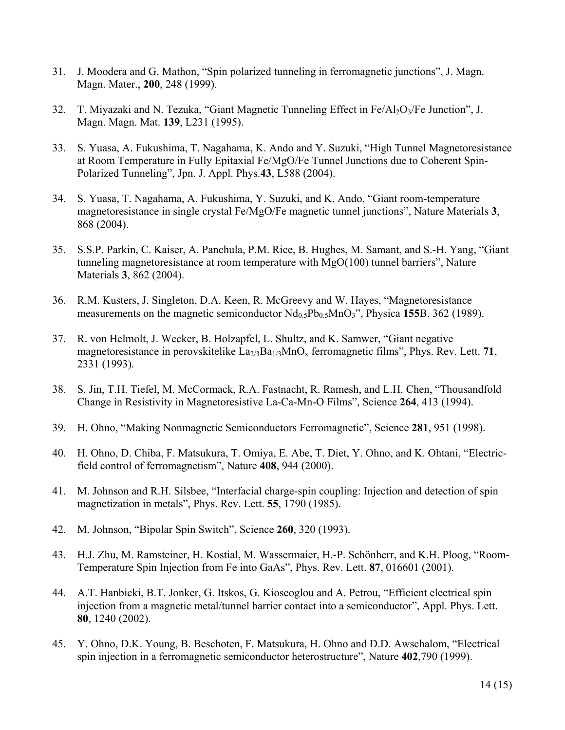- 31. J. Moodera and G. Mathon, "Spin polarized tunneling in ferromagnetic junctions", J. Magn. Magn. Mater., **200**, 248 (1999).
- 32. T. Miyazaki and N. Tezuka, "Giant Magnetic Tunneling Effect in Fe/Al<sub>2</sub>O<sub>3</sub>/Fe Junction", J. Magn. Magn. Mat. **139**, L231 (1995).
- 33. S. Yuasa, A. Fukushima, T. Nagahama, K. Ando and Y. Suzuki, "High Tunnel Magnetoresistance at Room Temperature in Fully Epitaxial Fe/MgO/Fe Tunnel Junctions due to Coherent Spin-Polarized Tunneling", Jpn. J. Appl. Phys.**43**, L588 (2004).
- 34. S. Yuasa, T. Nagahama, A. Fukushima, Y. Suzuki, and K. Ando, "Giant room-temperature magnetoresistance in single crystal Fe/MgO/Fe magnetic tunnel junctions", Nature Materials **3**, 868 (2004).
- 35. S.S.P. Parkin, C. Kaiser, A. Panchula, P.M. Rice, B. Hughes, M. Samant, and S.-H. Yang, "Giant tunneling magnetoresistance at room temperature with MgO(100) tunnel barriers", Nature Materials **3**, 862 (2004).
- 36. R.M. Kusters, J. Singleton, D.A. Keen, R. McGreevy and W. Hayes, "Magnetoresistance measurements on the magnetic semiconductor  $Nd<sub>0.5</sub>Pb<sub>0.5</sub>MnO<sub>3</sub>$ <sup>"</sup>, Physica 155B, 362 (1989).
- 37. R. von Helmolt, J. Wecker, B. Holzapfel, L. Shultz, and K. Samwer, "Giant negative magnetoresistance in perovskitelike  $\text{La}_{2/3}\text{Ba}_{1/3}\text{MnO}_x$  ferromagnetic films", Phys. Rev. Lett. 71, 2331 (1993).
- 38. S. Jin, T.H. Tiefel, M. McCormack, R.A. Fastnacht, R. Ramesh, and L.H. Chen, "Thousandfold Change in Resistivity in Magnetoresistive La-Ca-Mn-O Films", Science **264**, 413 (1994).
- 39. H. Ohno, "Making Nonmagnetic Semiconductors Ferromagnetic", Science **281**, 951 (1998).
- 40. H. Ohno, D. Chiba, F. Matsukura, T. Omiya, E. Abe, T. Diet, Y. Ohno, and K. Ohtani, "Electricfield control of ferromagnetism", Nature **408**, 944 (2000).
- 41. M. Johnson and R.H. Silsbee, "Interfacial charge-spin coupling: Injection and detection of spin magnetization in metals", Phys. Rev. Lett. **55**, 1790 (1985).
- 42. M. Johnson, "Bipolar Spin Switch", Science **260**, 320 (1993).
- 43. H.J. Zhu, M. Ramsteiner, H. Kostial, M. Wassermaier, H.-P. Schönherr, and K.H. Ploog, "Room- Temperature Spin Injection from Fe into GaAs", Phys. Rev. Lett. **87**, 016601 (2001).
- 44. A.T. Hanbicki, B.T. Jonker, G. Itskos, G. Kioseoglou and A. Petrou, "Efficient electrical spin injection from a magnetic metal/tunnel barrier contact into a semiconductor", Appl. Phys. Lett. **80**, 1240 (2002).
- 45. Y. Ohno, D.K. Young, B. Beschoten, F. Matsukura, H. Ohno and D.D. Awschalom, "Electrical spin injection in a ferromagnetic semiconductor heterostructure", Nature **402**,790 (1999).